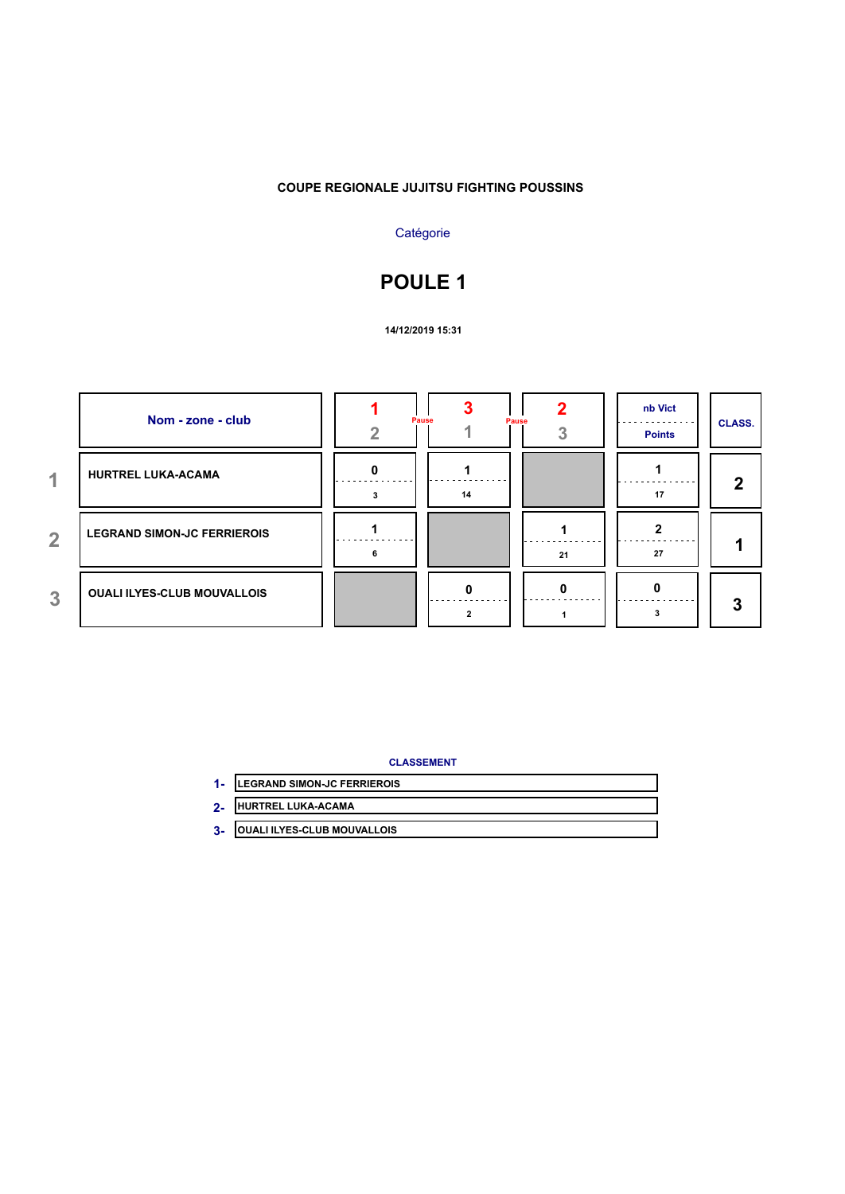### **COUPE REGIONALE JUJITSU FIGHTING POUSSINS**

## **Catégorie**

# **POULE 1**

**14/12/2019 15:31**

|                | Nom - zone - club                  | Pause<br>Pause |    | nb Vict<br><b>Points</b> | <b>CLASS.</b> |
|----------------|------------------------------------|----------------|----|--------------------------|---------------|
| 4.             | <b>HURTREL LUKA-ACAMA</b>          | 14             |    | 17                       | 2             |
| $\overline{2}$ | <b>LEGRAND SIMON-JC FERRIEROIS</b> |                | 21 | 27                       |               |
| 3              | <b>OUALI ILYES-CLUB MOUVALLOIS</b> | $\bf{0}$       |    |                          | 3             |

- **LEGRAND SIMON-JC FERRIEROIS 1-**
- **HURTREL LUKA-ACAMA 2-**
- **OUALI ILYES-CLUB MOUVALLOIS 3-**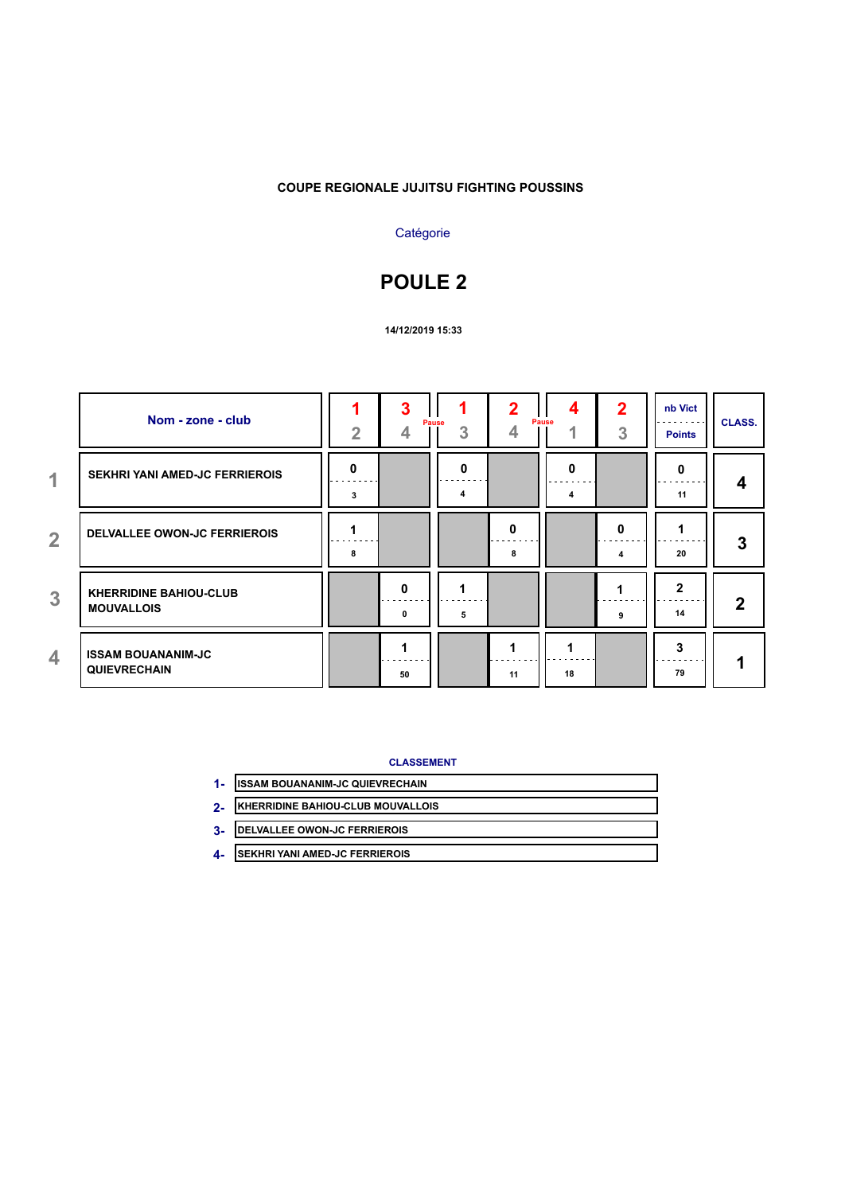### **COUPE REGIONALE JUJITSU FIGHTING POUSSINS**

## **Catégorie**

# **POULE 2**

#### **14/12/2019 15:33**

|                | Nom - zone - club                                  | $\overline{2}$ | 3                 | Pause<br>3 | 4      | Pause<br>4        | 2<br>3 | nb Vict<br>$\cdots$<br><b>Points</b> | <b>CLASS.</b> |
|----------------|----------------------------------------------------|----------------|-------------------|------------|--------|-------------------|--------|--------------------------------------|---------------|
| $\overline{1}$ | <b>SEKHRI YANI AMED-JC FERRIEROIS</b>              | 0<br>3         |                   | 0<br>4     |        | 0<br>- - - -<br>4 |        | 0<br>11                              | 4             |
| $\overline{2}$ | <b>DELVALLEE OWON-JC FERRIEROIS</b>                | 8              |                   |            | O<br>8 |                   | 0<br>4 | 20                                   | 3             |
| $\overline{3}$ | <b>KHERRIDINE BAHIOU-CLUB</b><br><b>MOUVALLOIS</b> |                | $\mathbf{0}$<br>0 | 5          |        |                   | 9      | 2<br>14                              | $\mathbf{2}$  |
| 4              | <b>ISSAM BOUANANIM-JC</b><br><b>QUIEVRECHAIN</b>   |                | 50                |            | 11     | 18                |        | 3<br>79                              | ø             |

- **ISSAM BOUANANIM-JC QUIEVRECHAIN 1-**
- **KHERRIDINE BAHIOU-CLUB MOUVALLOIS 2-**
- **DELVALLEE OWON-JC FERRIEROIS 3-**
- **SEKHRI YANI AMED-JC FERRIEROIS 4-**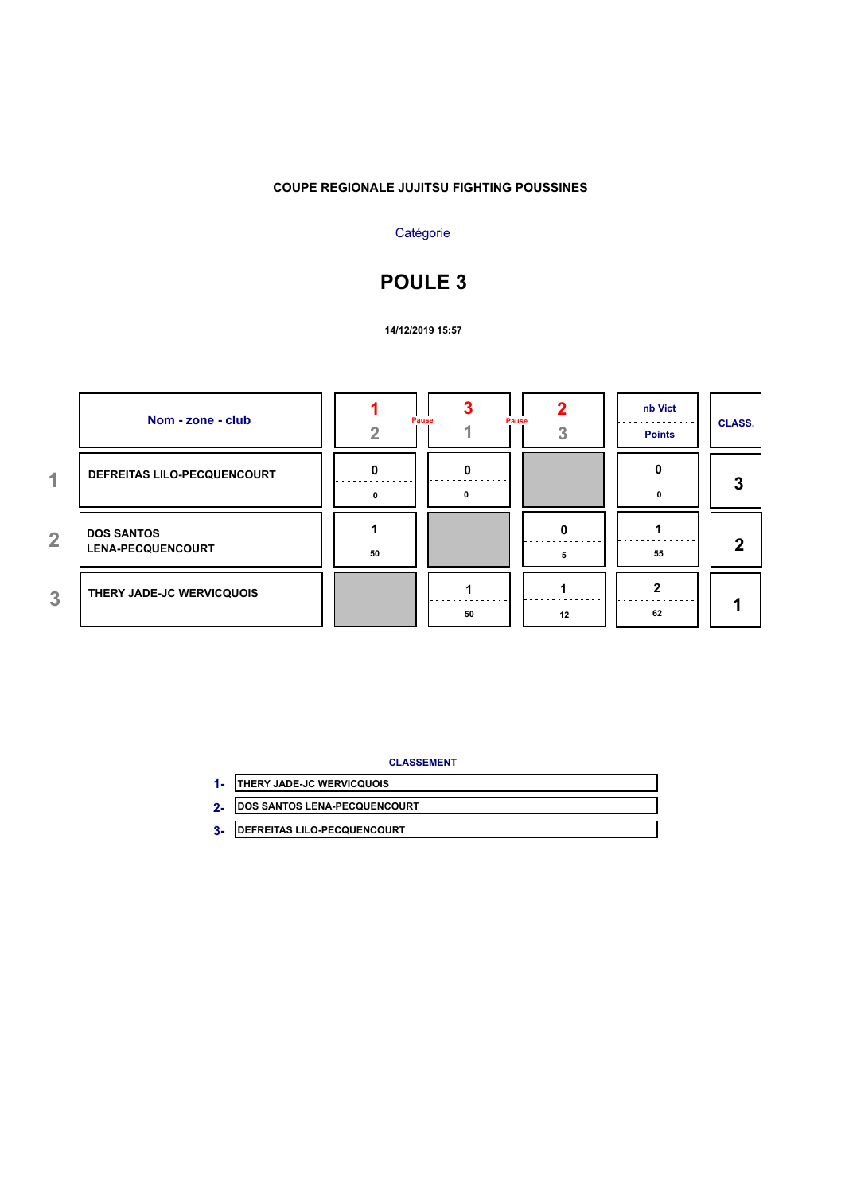### **COUPE REGIONALE JUJITSU FIGHTING POUSSINES**

## **Catégorie**

# **POULE 3**

**14/12/2019 15:57**

|                | Nom - zone - club                             |    | Pause<br>Pause |    | nb Vict<br><b>Points</b> | <b>CLASS.</b> |
|----------------|-----------------------------------------------|----|----------------|----|--------------------------|---------------|
| 4.             | DEFREITAS LILO-PECQUENCOURT                   | n  |                |    |                          | 3             |
| $\overline{2}$ | <b>DOS SANTOS</b><br><b>LENA-PECQUENCOURT</b> | 50 |                |    | 55                       | 2             |
| 3              | THERY JADE-JC WERVICQUOIS                     |    | 50             | 12 | 62                       |               |

- **THERY JADE-JC WERVICQUOIS 1-**
- **DOS SANTOS LENA-PECQUENCOURT 2-**
- **DEFREITAS LILO-PECQUENCOURT 3-**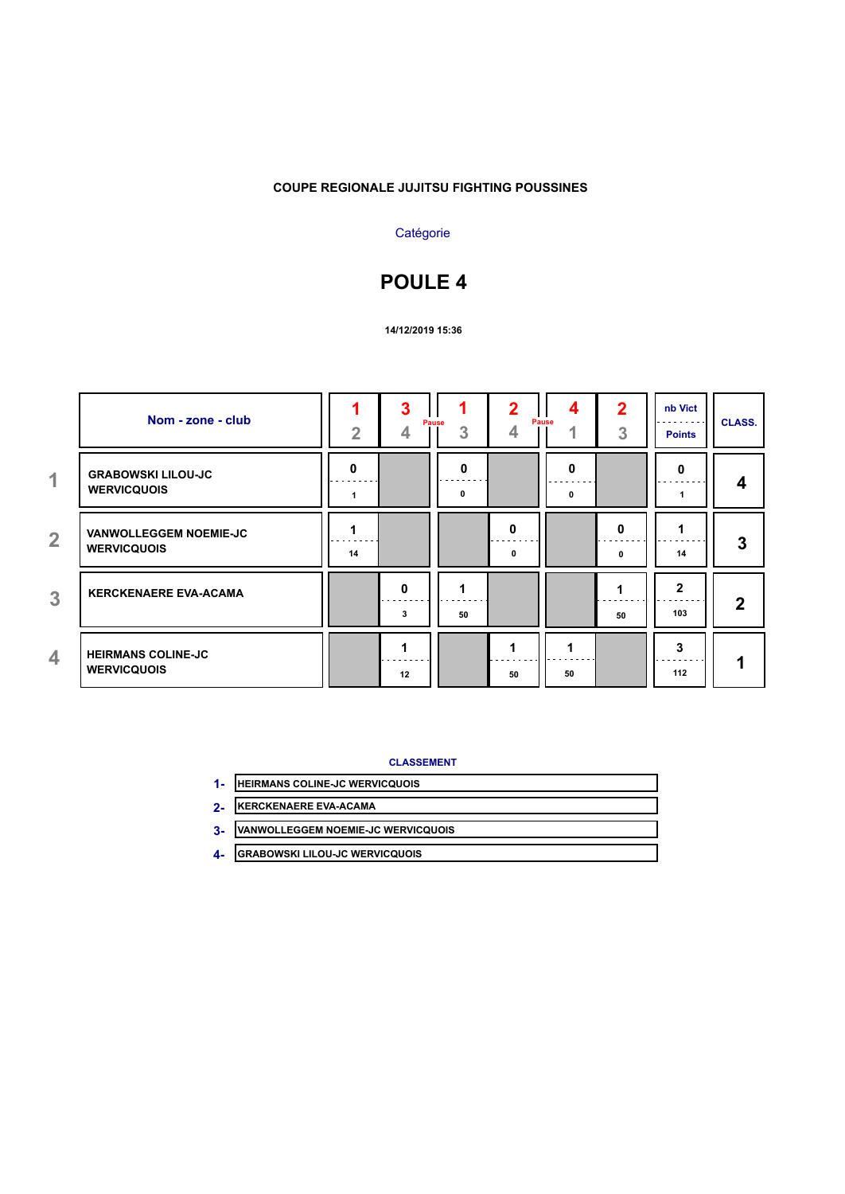### **COUPE REGIONALE JUJITSU FIGHTING POUSSINES**

## **Catégorie**

## **POULE 4**

#### **14/12/2019 15:36**

|                | Nom - zone - club                                   | $\overline{2}$ | 3                 | Pause<br>3 | 4      | 4<br>Pause<br>4   | 2<br>3 | nb Vict<br>.<br><b>Points</b> | <b>CLASS.</b> |
|----------------|-----------------------------------------------------|----------------|-------------------|------------|--------|-------------------|--------|-------------------------------|---------------|
| $\overline{1}$ | <b>GRABOWSKI LILOU-JC</b><br><b>WERVICQUOIS</b>     | 0              |                   | 0<br>0     |        | 0<br>- - - -<br>0 |        | 0                             | 4             |
| $\overline{2}$ | <b>VANWOLLEGGEM NOEMIE-JC</b><br><b>WERVICQUOIS</b> | 14             |                   |            | O<br>0 |                   | 0<br>0 | 14                            | 3             |
| 3              | <b>KERCKENAERE EVA-ACAMA</b>                        |                | $\mathbf{0}$<br>3 | 50         |        |                   | 50     | 2<br>103                      | $\mathbf{2}$  |
| 4              | <b>HEIRMANS COLINE-JC</b><br><b>WERVICQUOIS</b>     |                | 12                |            | 50     | 50                |        | 3<br>112                      | ٠             |

- **HEIRMANS COLINE-JC WERVICQUOIS 1-**
- **KERCKENAERE EVA-ACAMA 2-**
- **VANWOLLEGGEM NOEMIE-JC WERVICQUOIS 3-**
- **GRABOWSKI LILOU-JC WERVICQUOIS 4-**